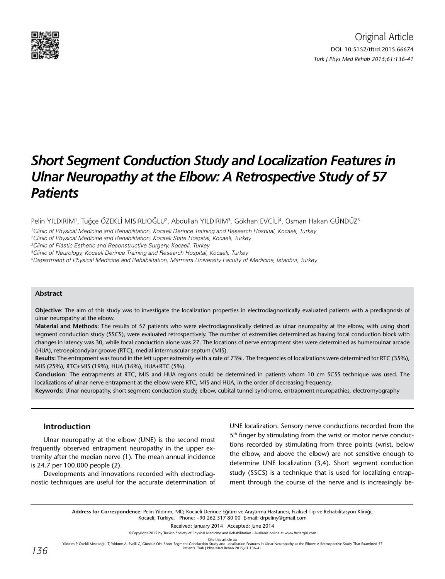

# *Short Segment Conduction Study and Localization Features in Ulnar Neuropathy at the Elbow: A Retrospective Study of 57 Patients*

<code>Pelin YILDIRIM</code>', Tuğçe ÖZEKLİ MISIRLIOĞLU<sup>2</sup>, Abdullah YILDIRIM<sup>3</sup>, Gökhan EVCİLİ<sup>4</sup>, Osman Hakan GÜNDÜZ<sup>5</sup>

1 Clinic of Physical Medicine and Rehabilitation, Kocaeli Derince Training and Research Hospital, Kocaeli, Turkey

2 Clinic of Physical Medicine and Rehabilitation, Kocaeli State Hospital, Kocaeli, Turkey

3 Clinic of Plastic Esthetic and Reconstructive Surgery, Kocaeli, Turkey

4 Clinic of Neurology, Kocaeli Derince Training and Research Hospital, Kocaeli, Turkey

5 Department of Physical Medicine and Rehabilitation, Marmara University Faculty of Medicine, İstanbul, Turkey

#### **Abstract**

**Objective:** The aim of this study was to investigate the localization properties in electrodiagnostically evaluated patients with a prediagnosis of ulnar neuropathy at the elbow.

**Material and Methods:** The results of 57 patients who were electrodiagnostically defined as ulnar neuropathy at the elbow, with using short segment conduction study (SSCS), were evaluated retrospectively. The number of extremities determined as having focal conduction block with changes in latency was 30, while focal conduction alone was 27. The locations of nerve entrapment sites were determined as humeroulnar arcade (HUA), retroepicondylar groove (RTC), medial intermuscular septum (MIS).

**Results:** The entrapment was found in the left upper extremity with a rate of 73%. The frequencies of localizations were determined for RTC (35%), MIS (25%), RTC+MIS (19%), HUA (16%), HUA+RTC (5%).

**Conclusion:** The entrapments at RTC, MIS and HUA regions could be determined in patients whom 10 cm SCSS technique was used. The localizations of ulnar nerve entrapment at the elbow were RTC, MIS and HUA, in the order of decreasing frequency.

**Keywords:** Ulnar neuropathy, short segment conduction study, elbow, cubital tunnel syndrome, entrapment neuropathies, electromyography

## **Introduction**

Ulnar neuropathy at the elbow (UNE) is the second most frequently observed entrapment neuropathy in the upper extremity after the median nerve (1). The mean annual incidence is 24.7 per 100.000 people (2).

Developments and innovations recorded with electrodiagnostic techniques are useful for the accurate determination of UNE localization. Sensory nerve conductions recorded from the 5<sup>th</sup> finger by stimulating from the wrist or motor nerve conductions recorded by stimulating from three points (wrist, below the elbow, and above the elbow) are not sensitive enough to determine UNE localization (3,4). Short segment conduction study (SSCS) is a technique that is used for localizing entrapment through the course of the nerve and is increasingly be-

**Address for Correspondence:** Pelin Yıldırım, MD, Kocaeli Derince Eğitim ve Araştırma Hastanesi, Fiziksel Tıp ve Rehabilitasyon Kliniği, Kocaeli, Türkiye. Phone: +90 262 317 80 00 E-mail: drpeliny@gmail.com

Received: January 2014 Accepted: June 2014

©Copyright 2015 by Turkish Society of Physical Medicine and Rehabilitation - Available online at www.ftrdergisi.com

Cite this article as:

Yıldırım P, Özekli Mısırlıoğlu T, Yıldırım A, Evcili G, Gündüz OH. Short Segment Conduction Study and Localization Features in Ulnar Neuropathy at the Elbow: A Retrospective Study That Examined 57<br>Patients. Turk J Phys Me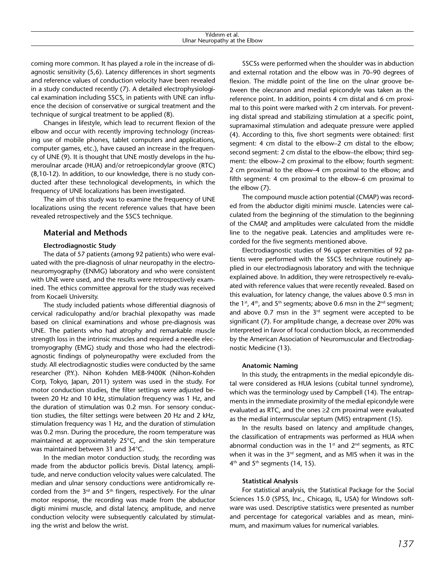coming more common. It has played a role in the increase of diagnostic sensitivity (5,6). Latency differences in short segments and reference values of conduction velocity have been revealed in a study conducted recently (7). A detailed electrophysiological examination including SSCS, in patients with UNE can influence the decision of conservative or surgical treatment and the technique of surgical treatment to be applied (8).

Changes in lifestyle, which lead to recurrent flexion of the elbow and occur with recently improving technology (increasing use of mobile phones, tablet computers and applications, computer games, etc.), have caused an increase in the frequency of UNE (9). It is thought that UNE mostly develops in the humeroulnar arcade (HUA) and/or retroepicondylar groove (RTC) (8,10-12). In addition, to our knowledge, there is no study conducted after these technological developments, in which the frequency of UNE localizations has been investigated.

The aim of this study was to examine the frequency of UNE localizations using the recent reference values that have been revealed retrospectively and the SSCS technique.

# **Material and Methods**

## **Electrodiagnostic Study**

The data of 57 patients (among 92 patients) who were evaluated with the pre-diagnosis of ulnar neuropathy in the electroneuromyography (ENMG) laboratory and who were consistent with UNE were used, and the results were retrospectively examined. The ethics committee approval for the study was received from Kocaeli University.

The study included patients whose differential diagnosis of cervical radiculopathy and/or brachial plexopathy was made based on clinical examinations and whose pre-diagnosis was UNE. The patients who had atrophy and remarkable muscle strength loss in the intrinsic muscles and required a needle electromyography (EMG) study and those who had the electrodiagnostic findings of polyneuropathy were excluded from the study. All electrodiagnostic studies were conducted by the same researcher (P.Y.). Nihon Kohden MEB-9400K (Nihon-Kohden Corp, Tokyo, Japan, 2011) system was used in the study. For motor conduction studies, the filter settings were adjusted between 20 Hz and 10 kHz, stimulation frequency was 1 Hz, and the duration of stimulation was 0.2 msn. For sensory conduction studies, the filter settings were between 20 Hz and 2 kHz, stimulation frequency was 1 Hz, and the duration of stimulation was 0.2 msn. During the procedure, the room temperature was maintained at approximately 25°C, and the skin temperature was maintained between 31 and 34°C.

In the median motor conduction study, the recording was made from the abductor pollicis brevis. Distal latency, amplitude, and nerve conduction velocity values were calculated. The median and ulnar sensory conductions were antidromically recorded from the  $3<sup>rd</sup>$  and  $5<sup>th</sup>$  fingers, respectively. For the ulnar motor response, the recording was made from the abductor digiti minimi muscle, and distal latency, amplitude, and nerve conduction velocity were subsequently calculated by stimulating the wrist and below the wrist.

SSCSs were performed when the shoulder was in abduction and external rotation and the elbow was in 70–90 degrees of flexion. The middle point of the line on the ulnar groove between the olecranon and medial epicondyle was taken as the reference point. In addition, points 4 cm distal and 6 cm proximal to this point were marked with 2 cm intervals. For preventing distal spread and stabilizing stimulation at a specific point, supramaximal stimulation and adequate pressure were applied (4). According to this, five short segments were obtained: first segment: 4 cm distal to the elbow–2 cm distal to the elbow; second segment: 2 cm distal to the elbow–the elbow; third segment: the elbow–2 cm proximal to the elbow; fourth segment: 2 cm proximal to the elbow–4 cm proximal to the elbow; and fifth segment: 4 cm proximal to the elbow–6 cm proximal to the elbow (7).

The compound muscle action potential (CMAP) was recorded from the abductor digiti minimi muscle. Latencies were calculated from the beginning of the stimulation to the beginning of the CMAP, and amplitudes were calculated from the middle line to the negative peak. Latencies and amplitudes were recorded for the five segments mentioned above.

Electrodiagnostic studies of 96 upper extremities of 92 patients were performed with the SSCS technique routinely applied in our electrodiagnosis laboratory and with the technique explained above. In addition, they were retrospectively re-evaluated with reference values that were recently revealed. Based on this evaluation, for latency change, the values above 0.5 msn in the  $1<sup>st</sup>$ ,  $4<sup>th</sup>$ , and  $5<sup>th</sup>$  segments; above 0.6 msn in the  $2<sup>nd</sup>$  segment; and above 0.7 msn in the  $3<sup>rd</sup>$  segment were accepted to be significant (7). For amplitude change, a decrease over 20% was interpreted in favor of focal conduction block, as recommended by the American Association of Neuromuscular and Electrodiagnostic Medicine (13).

### **Anatomic Naming**

In this study, the entrapments in the medial epicondyle distal were considered as HUA lesions (cubital tunnel syndrome), which was the terminology used by Campbell (14). The entrapments in the immediate proximity of the medial epicondyle were evaluated as RTC, and the ones ≥2 cm proximal were evaluated as the medial intermuscular septum (MIS) entrapment (15).

In the results based on latency and amplitude changes, the classification of entrapments was performed as HUA when abnormal conduction was in the  $1<sup>st</sup>$  and  $2<sup>nd</sup>$  segments, as RTC when it was in the 3<sup>rd</sup> segment, and as MIS when it was in the  $4<sup>th</sup>$  and  $5<sup>th</sup>$  segments (14, 15).

### **Statistical Analysis**

For statistical analysis, the Statistical Package for the Social Sciences 15.0 (SPSS, Inc., Chicago, IL, USA) for Windows software was used. Descriptive statistics were presented as number and percentage for categorical variables and as mean, minimum, and maximum values for numerical variables.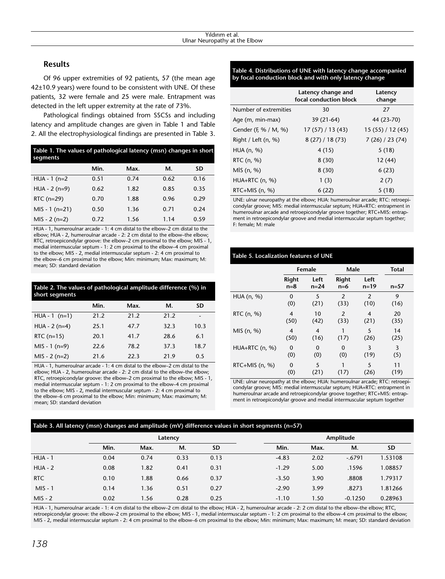# **Results**

Of 96 upper extremities of 92 patients, 57 (the mean age 42±10.9 years) were found to be consistent with UNE. Of these patients, 32 were female and 25 were male. Entrapment was detected in the left upper extremity at the rate of 73%.

Pathological findings obtained from SSCSs and including latency and amplitude changes are given in Table 1 and Table 2. All the electrophysiological findings are presented in Table 3.

| Table 1. The values of pathological latency (msn) changes in short<br>segments |      |      |      |      |  |  |  |
|--------------------------------------------------------------------------------|------|------|------|------|--|--|--|
|                                                                                | Min. | Max. | М.   | SD   |  |  |  |
| $HUA - 1$ (n=2                                                                 | 0.51 | 0.74 | 0.62 | 0.16 |  |  |  |
| $HUA - 2(n=9)$                                                                 | 0.62 | 1.82 | 0.85 | 0.35 |  |  |  |
| RTC $(n=29)$                                                                   | 0.70 | 1.88 | 0.96 | 0.29 |  |  |  |
| $MIS - 1(n=21)$                                                                | 0.50 | 1.36 | 0.71 | 0.24 |  |  |  |
| $MIS - 2(n=2)$                                                                 | 0.72 | 1.56 | 1.14 | 0.59 |  |  |  |

HUA - 1, humeroulnar arcade - 1: 4 cm distal to the elbow–2 cm distal to the elbow; HUA - 2, humeroulnar arcade - 2: 2 cm distal to the elbow–the elbow; RTC, retroepicondylar groove: the elbow–2 cm proximal to the elbow; MIS - 1, medial intermuscular septum - 1: 2 cm proximal to the elbow–4 cm proximal to the elbow; MIS - 2, medial intermuscular septum - 2: 4 cm proximal to the elbow–6 cm proximal to the elbow; Min: minimum; Max: maximum; M: mean; SD: standard deviation

| short segments  | Table 2. The values of pathological amplitude difference (%) in |      |      |           |  |  |
|-----------------|-----------------------------------------------------------------|------|------|-----------|--|--|
|                 | Min.                                                            | Max. | М.   | <b>SD</b> |  |  |
| $HUA - 1$ (n=1) | 21.2                                                            | 21.2 | 21.2 |           |  |  |
| $HUA - 2(n=4)$  | 25.1                                                            | 47.7 | 32.3 | 10.3      |  |  |
| RTC $(n=15)$    | 20.1                                                            | 41.7 | 28.6 | 6.1       |  |  |
| $MIS - 1(n=9)$  | 22.6                                                            | 78.2 | 37.3 | 18.7      |  |  |
| $MIS - 2(n=2)$  | 21.6                                                            | 22.3 | 21.9 | 0.5       |  |  |

HUA - 1, humeroulnar arcade - 1: 4 cm distal to the elbow–2 cm distal to the elbow; HUA - 2, humeroulnar arcade - 2: 2 cm distal to the elbow–the elbow; RTC, retroepicondylar groove: the elbow–2 cm proximal to the elbow; MIS - 1, medial intermuscular septum - 1: 2 cm proximal to the elbow–4 cm proximal to the elbow; MIS - 2, medial intermuscular septum - 2: 4 cm proximal to the elbow–6 cm proximal to the elbow; Min: minimum; Max: maximum; M: mean; SD: standard deviation

## **Table 4. Distributions of UNE with latency change accompanied by focal conduction block and with only latency change**

|                       | Latency change and<br>focal conduction block | Latency<br>change |
|-----------------------|----------------------------------------------|-------------------|
| Number of extremities | 30                                           | 27                |
| Age (m, min-max)      | 39 (21-64)                                   | 44 (23-70)        |
| Gender (F, % / M, %)  | 17(57)/13(43)                                | 15(55)/12(45)     |
| Right / Left $(n, %)$ | 8(27) / 18(73)                               | 7(26)/23(74)      |
| $HUA$ (n, %)          | 4(15)                                        | 5(18)             |
| RTC (n, %)            | 8(30)                                        | 12 (44)           |
| MIS(n, %)             | 8(30)                                        | 6(23)             |
| $HUA+RTC$ (n, %)      | 1(3)                                         | 2(7)              |
| RTC+MIS $(n, %)$      | 6(22)                                        | 5(18)             |

UNE: ulnar neuropathy at the elbow; HUA: humeroulnar arcade; RTC: retroepicondylar groove; MIS: medial intermuscular septum; HUA+RTC: entrapment in humeroulnar arcade and retroepicondylar groove together; RTC+MIS: entrapment in retroepicondylar groove and medial intermuscular septum together; F: female; M: male

## **Table 5. Localization features of UNE**

|                  | Female                 |                        | Male            | <b>Total</b>     |            |
|------------------|------------------------|------------------------|-----------------|------------------|------------|
|                  | Right<br>$n=8$         | Left<br>$n=24$         | Right<br>$n=6$  | Left<br>$n = 19$ | $n=57$     |
| HUA (n, %)       | $\mathbf{0}$<br>(0)    | 5<br>(21)              | 2<br>(33)       | 2<br>(10)        | 9<br>(16)  |
| RTC (n, %)       | 4<br>(50)              | 10<br>(42)             | 2<br>(33)       | 4<br>(21)        | 20<br>(35) |
| MIS (n, %)       | $\overline{4}$<br>(50) | $\overline{4}$<br>(16) | (17)            | 5<br>(26)        | 14<br>(25) |
| HUA+RTC (n, %)   | 0<br>(0)               | 0<br>(0)               | $\Omega$<br>(0) | 3<br>(19)        | 3<br>(5)   |
| RTC+MIS $(n, %)$ | 0<br>(0)               | 5<br>(21)              | (17)            | 5<br>(26)        | 11<br>(19) |

UNE: ulnar neuropathy at the elbow; HUA: humeroulnar arcade; RTC: retroepicondylar groove; MIS: medial intermuscular septum; HUA+RTC: entrapment in humeroulnar arcade and retroepicondylar groove together; RTC+MIS: entrapment in retroepicondylar groove and medial intermuscular septum together

# **Table 3. All latency (msn) changes and amplitude (mV) difference values in short segments (n=57)**

|                | Latency |      |      | Amplitude |         |      |           |           |
|----------------|---------|------|------|-----------|---------|------|-----------|-----------|
|                | Min.    | Max. | М.   | <b>SD</b> | Min.    | Max. | М.        | <b>SD</b> |
| <b>HUA - 1</b> | 0.04    | 0.74 | 0.33 | 0.13      | $-4.83$ | 2.02 | $-.6791$  | 1.53108   |
| $HUA - 2$      | 0.08    | 1.82 | 0.41 | 0.31      | $-1.29$ | 5.00 | .1596     | .08857    |
| <b>RTC</b>     | 0.10    | 1.88 | 0.66 | 0.37      | $-3.50$ | 3.90 | .8808     | .79317    |
| $MIS - 1$      | 0.14    | 1.36 | 0.51 | 0.27      | $-2.90$ | 3.99 | .8273     | 1.81266   |
| $MIS - 2$      | 0.02    | 1.56 | 0.28 | 0.25      | $-1.10$ | 1.50 | $-0.1250$ | 0.28963   |

HUA - 1, humeroulnar arcade - 1: 4 cm distal to the elbow–2 cm distal to the elbow; HUA - 2, humeroulnar arcade - 2: 2 cm distal to the elbow–the elbow; RTC, retroepicondylar groove: the elbow-2 cm proximal to the elbow; MIS - 1, medial intermuscular septum - 1: 2 cm proximal to the elbow-4 cm proximal to the elbow; MIS - 2, medial intermuscular septum - 2: 4 cm proximal to the elbow–6 cm proximal to the elbow; Min: minimum; Max: maximum; M: mean; SD: standard deviation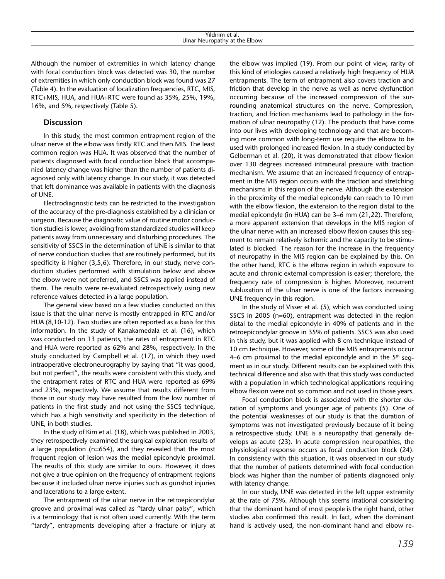Although the number of extremities in which latency change with focal conduction block was detected was 30, the number of extremities in which only conduction block was found was 27 (Table 4). In the evaluation of localization frequencies, RTC, MIS, RTC+MIS, HUA, and HUA+RTC were found as 35%, 25%, 19%, 16%, and 5%, respectively (Table 5).

## **Discussion**

In this study, the most common entrapment region of the ulnar nerve at the elbow was firstly RTC and then MIS. The least common region was HUA. It was observed that the number of patients diagnosed with focal conduction block that accompanied latency change was higher than the number of patients diagnosed only with latency change. In our study, it was detected that left dominance was available in patients with the diagnosis of UNE.

Electrodiagnostic tests can be restricted to the investigation of the accuracy of the pre-diagnosis established by a clinician or surgeon. Because the diagnostic value of routine motor conduction studies is lower, avoiding from standardized studies will keep patients away from unnecessary and disturbing procedures. The sensitivity of SSCS in the determination of UNE is similar to that of nerve conduction studies that are routinely performed, but its specificity is higher (3,5,6). Therefore, in our study, nerve conduction studies performed with stimulation below and above the elbow were not preferred, and SSCS was applied instead of them. The results were re-evaluated retrospectively using new reference values detected in a large population.

The general view based on a few studies conducted on this issue is that the ulnar nerve is mostly entrapped in RTC and/or HUA (8,10-12). Two studies are often reported as a basis for this information. In the study of Kanakamedala et al. (16), which was conducted on 13 patients, the rates of entrapment in RTC and HUA were reported as 62% and 28%, respectively. In the study conducted by Campbell et al. (17), in which they used intraoperative electroneurography by saying that "it was good, but not perfect", the results were consistent with this study, and the entrapment rates of RTC and HUA were reported as 69% and 23%, respectively. We assume that results different from those in our study may have resulted from the low number of patients in the first study and not using the SSCS technique, which has a high sensitivity and specificity in the detection of UNE, in both studies.

In the study of Kim et al. (18), which was published in 2003, they retrospectively examined the surgical exploration results of a large population (n=654), and they revealed that the most frequent region of lesion was the medial epicondyle proximal. The results of this study are similar to ours. However, it does not give a true opinion on the frequency of entrapment regions because it included ulnar nerve injuries such as gunshot injuries and lacerations to a large extent.

The entrapment of the ulnar nerve in the retroepicondylar groove and proximal was called as "tardy ulnar palsy", which is a terminology that is not often used currently. With the term "tardy", entrapments developing after a fracture or injury at

the elbow was implied (19). From our point of view, rarity of this kind of etiologies caused a relatively high frequency of HUA entrapments. The term of entrapment also covers traction and friction that develop in the nerve as well as nerve dysfunction occurring because of the increased compression of the surrounding anatomical structures on the nerve. Compression, traction, and friction mechanisms lead to pathology in the formation of ulnar neuropathy (12). The products that have come into our lives with developing technology and that are becoming more common with long-term use require the elbow to be used with prolonged increased flexion. In a study conducted by Gelberman et al. (20), it was demonstrated that elbow flexion over 130 degrees increased intraneural pressure with traction mechanism. We assume that an increased frequency of entrapment in the MIS region occurs with the traction and stretching mechanisms in this region of the nerve. Although the extension in the proximity of the medial epicondyle can reach to 10 mm with the elbow flexion, the extension to the region distal to the medial epicondyle (in HUA) can be 3–6 mm (21,22). Therefore, a more apparent extension that develops in the MIS region of the ulnar nerve with an increased elbow flexion causes this segment to remain relatively ischemic and the capacity to be stimulated is blocked. The reason for the increase in the frequency of neuropathy in the MIS region can be explained by this. On the other hand, RTC is the elbow region in which exposure to acute and chronic external compression is easier; therefore, the frequency rate of compression is higher. Moreover, recurrent subluxation of the ulnar nerve is one of the factors increasing UNE frequency in this region.

In the study of Visser et al. (5), which was conducted using SSCS in 2005 (n=60), entrapment was detected in the region distal to the medial epicondyle in 40% of patients and in the retroepicondylar groove in 35% of patients. SSCS was also used in this study, but it was applied with 8 cm technique instead of 10 cm technique. However, some of the MIS entrapments occur 4–6 cm proximal to the medial epicondyle and in the  $5<sup>th</sup>$  segment as in our study. Different results can be explained with this technical difference and also with that this study was conducted with a population in which technological applications requiring elbow flexion were not so common and not used in those years.

Focal conduction block is associated with the shorter duration of symptoms and younger age of patients (5). One of the potential weaknesses of our study is that the duration of symptoms was not investigated previously because of it being a retrospective study. UNE is a neuropathy that generally develops as acute (23). In acute compression neuropathies, the physiological response occurs as focal conduction block (24). In consistency with this situation, it was observed in our study that the number of patients determined with focal conduction block was higher than the number of patients diagnosed only with latency change.

In our study, UNE was detected in the left upper extremity at the rate of 75%. Although this seems irrational considering that the dominant hand of most people is the right hand, other studies also confirmed this result. In fact, when the dominant hand is actively used, the non-dominant hand and elbow re-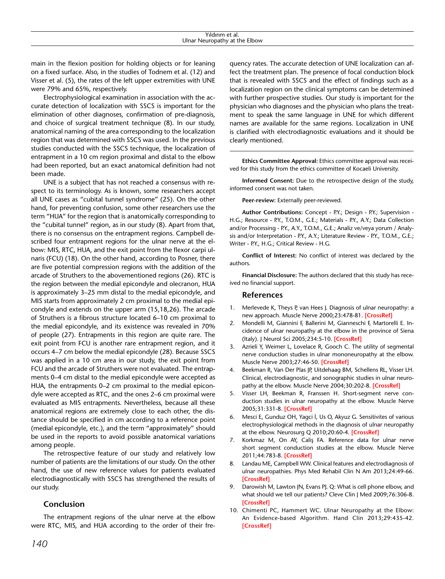main in the flexion position for holding objects or for leaning on a fixed surface. Also, in the studies of Todnem et al. (12) and Visser et al. (5), the rates of the left upper extremities with UNE were 79% and 65%, respectively.

Electrophysiological examination in association with the accurate detection of localization with SSCS is important for the elimination of other diagnoses, confirmation of pre-diagnosis, and choice of surgical treatment technique (8). In our study, anatomical naming of the area corresponding to the localization region that was determined with SSCS was used. In the previous studies conducted with the SSCS technique, the localization of entrapment in a 10 cm region proximal and distal to the elbow had been reported, but an exact anatomical definition had not been made.

UNE is a subject that has not reached a consensus with respect to its terminology. As is known, some researchers accept all UNE cases as "cubital tunnel syndrome" (25). On the other hand, for preventing confusion, some other researchers use the term "HUA" for the region that is anatomically corresponding to the "cubital tunnel" region, as in our study (8). Apart from that, there is no consensus on the entrapment regions. Campbell described four entrapment regions for the ulnar nerve at the elbow: MIS, RTC, HUA, and the exit point from the flexor carpi ulnaris (FCU) (18). On the other hand, according to Posner, there are five potential compression regions with the addition of the arcade of Struthers to the abovementioned regions (26). RTC is the region between the medial epicondyle and olecranon, HUA is approximately 3–25 mm distal to the medial epicondyle, and MIS starts from approximately 2 cm proximal to the medial epicondyle and extends on the upper arm (15,18,26). The arcade of Struthers is a fibrous structure located 6–10 cm proximal to the medial epicondyle, and its existence was revealed in 70% of people (27). Entrapments in this region are quite rare. The exit point from FCU is another rare entrapment region, and it occurs 4–7 cm below the medial epicondyle (28). Because SSCS was applied in a 10 cm area in our study, the exit point from FCU and the arcade of Struthers were not evaluated. The entrapments 0–4 cm distal to the medial epicondyle were accepted as HUA, the entrapments 0–2 cm proximal to the medial epicondyle were accepted as RTC, and the ones 2–6 cm proximal were evaluated as MIS entrapments. Nevertheless, because all these anatomical regions are extremely close to each other, the distance should be specified in cm according to a reference point (medial epicondyle, etc.), and the term "approximately" should be used in the reports to avoid possible anatomical variations among people.

The retrospective feature of our study and relatively low number of patients are the limitations of our study. On the other hand, the use of new reference values for patients evaluated electrodiagnostically with SSCS has strengthened the results of our study.

## **Conclusion**

The entrapment regions of the ulnar nerve at the elbow were RTC, MIS, and HUA according to the order of their frequency rates. The accurate detection of UNE localization can affect the treatment plan. The presence of focal conduction block that is revealed with SSCS and the effect of findings such as a localization region on the clinical symptoms can be determined with further prospective studies. Our study is important for the physician who diagnoses and the physician who plans the treatment to speak the same language in UNE for which different names are available for the same regions. Localization in UNE is clarified with electrodiagnostic evaluations and it should be clearly mentioned.

**Ethics Committee Approval:** Ethics committee approval was received for this study from the ethics committee of Kocaeli University.

**Informed Consent:** Due to the retrospective design of the study, informed consent was not taken.

**Peer-review:** Externally peer-reviewed.

**Author Contributions:** Concept - P.Y.; Design - P.Y.; Supervision - H.G.; Resource - P.Y., T.O.M., G.E.; Materials - P.Y., A.Y.; Data Collection and/or Processing - P.Y., A.Y., T.O.M., G.E.; Analiz ve/veya yorum / Analysis and/or Interpretation - P.Y., A.Y.; Literature Review - P.Y., T.O.M., G.E.; Writer - P.Y., H.G.; Critical Review - H.G.

**Conflict of Interest:** No conflict of interest was declared by the authors.

**Financial Disclosure:** The authors declared that this study has received no financial support.

### **References**

- 1. Merlevede K, Theys P, van Hees J. Diagnosis of ulnar neuropathy: a new approach. Muscle Nerve 2000;23:478-81. **[\[CrossRef\]](http://dx.doi.org/10.1002/(SICI)1097-4598(200004)23:4<478::AID-MUS4>3.3.CO;2-W)**
- 2. Mondelli M, Giannini F, Ballerini M, Gianneschi F, Martorelli E. Incidence of ulnar neuropathy at the elbow in the province of Siena (Italy). J Neurol Sci 2005;234:5-10. **[\[CrossRef\]](http://dx.doi.org/10.1016/j.jns.2005.02.010)**
- 3. Azrieli Y, Weimer L, Lovelace R, Gooch C. The utility of segmental nerve conduction studies in ulnar mononeuropathy at the elbow. Muscle Nerve 2003;27:46-50. **[[CrossRef](http://dx.doi.org/10.1002/mus.10293)]**
- 4. Beekman R, Van Der Plas JP, Uitdehaag BM, Schellens RL, Visser LH. Clinical, electrodiagnostic, and sonographic studies in ulnar neuropathy at the elbow. Muscle Nerve 2004;30:202-8. **[\[CrossRef\]](http://dx.doi.org/10.1002/mus.20093)**
- 5. Visser LH, Beekman R, Franssen H. Short-segment nerve conduction studies in ulnar neuropathy at the elbow. Muscle Nerve 2005;31:331-8. **[\[CrossRef\]](http://dx.doi.org/10.1002/mus.20248)**
- 6. Mesci E, Gunduz OH, Yagci İ, Us O, Akyuz G. Sensitivites of various electrophysiological methods in the diagnosis of ulnar neuropathy at the elbow. Neurosurg Q 2010;20:60-4. **[\[CrossRef](http://dx.doi.org/10.1097/WNQ.0b013e3181bd421d)]**
- 7. Korkmaz M, On AY, Caliş FA. Reference data for ulnar nerve short segment conduction studies at the elbow. Muscle Nerve 2011;44:783-8. **[\[CrossRef\]](http://dx.doi.org/10.1002/mus.22193)**
- 8. Landau ME, Campbell WW. Clinical features and electrodiagnosis of ulnar neuropathies. Phys Med Rehabil Clin N Am 2013;24:49-66. **[\[CrossRef\]](http://dx.doi.org/10.1016/j.pmr.2012.08.019)**
- 9. Darowish M, Lawton JN, Evans PJ. Q: What is cell phone elbow, and what should we tell our patients? Cleve Clin J Med 2009;76:306-8. **[\[CrossRef\]](http://dx.doi.org/10.3949/ccjm.76a.08090)**
- 10. Chimenti PC, Hammert WC. Ulnar Neuropathy at the Elbow: An Evidence-based Algorithm. Hand Clin 2013;29:435-42. **[[CrossRef\]](http://dx.doi.org/10.1016/j.hcl.2013.04.013)**